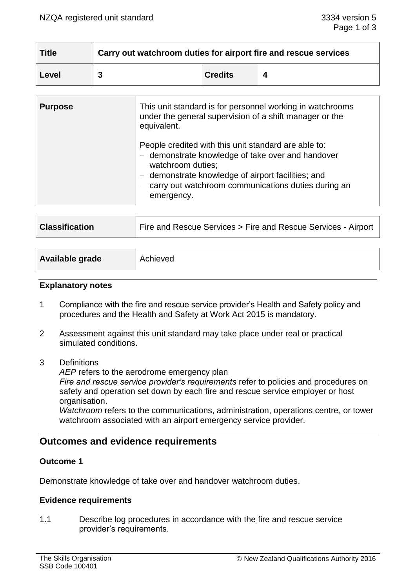| <b>Title</b> | Carry out watchroom duties for airport fire and rescue services |                |  |
|--------------|-----------------------------------------------------------------|----------------|--|
| Level        |                                                                 | <b>Credits</b> |  |

| <b>Purpose</b> | This unit standard is for personnel working in watchrooms<br>under the general supervision of a shift manager or the<br>equivalent.                                                                                                                     |
|----------------|---------------------------------------------------------------------------------------------------------------------------------------------------------------------------------------------------------------------------------------------------------|
|                | People credited with this unit standard are able to:<br>- demonstrate knowledge of take over and handover<br>watchroom duties;<br>demonstrate knowledge of airport facilities; and<br>carry out watchroom communications duties during an<br>emergency. |

| <b>Classification</b> | Fire and Rescue Services > Fire and Rescue Services - Airport |
|-----------------------|---------------------------------------------------------------|
|                       |                                                               |

| Available grade | Achieved |
|-----------------|----------|
|                 |          |

#### **Explanatory notes**

- 1 Compliance with the fire and rescue service provider's Health and Safety policy and procedures and the Health and Safety at Work Act 2015 is mandatory.
- 2 Assessment against this unit standard may take place under real or practical simulated conditions.
- 3 Definitions

*AEP* refers to the aerodrome emergency plan

*Fire and rescue service provider's requirements* refer to policies and procedures on safety and operation set down by each fire and rescue service employer or host organisation.

*Watchroom* refers to the communications, administration, operations centre, or tower watchroom associated with an airport emergency service provider.

# **Outcomes and evidence requirements**

## **Outcome 1**

Demonstrate knowledge of take over and handover watchroom duties.

#### **Evidence requirements**

1.1 Describe log procedures in accordance with the fire and rescue service provider's requirements.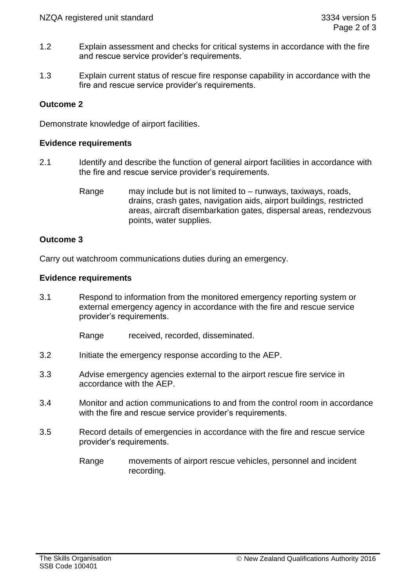- 1.2 Explain assessment and checks for critical systems in accordance with the fire and rescue service provider's requirements.
- 1.3 Explain current status of rescue fire response capability in accordance with the fire and rescue service provider's requirements.

# **Outcome 2**

Demonstrate knowledge of airport facilities.

## **Evidence requirements**

- 2.1 Identify and describe the function of general airport facilities in accordance with the fire and rescue service provider's requirements.
	- Range may include but is not limited to runways, taxiways, roads, drains, crash gates, navigation aids, airport buildings, restricted areas, aircraft disembarkation gates, dispersal areas, rendezvous points, water supplies.

## **Outcome 3**

Carry out watchroom communications duties during an emergency.

#### **Evidence requirements**

3.1 Respond to information from the monitored emergency reporting system or external emergency agency in accordance with the fire and rescue service provider's requirements.

Range received, recorded, disseminated.

- 3.2 Initiate the emergency response according to the AEP.
- 3.3 Advise emergency agencies external to the airport rescue fire service in accordance with the AEP.
- 3.4 Monitor and action communications to and from the control room in accordance with the fire and rescue service provider's requirements.
- 3.5 Record details of emergencies in accordance with the fire and rescue service provider's requirements.
	- Range movements of airport rescue vehicles, personnel and incident recording.